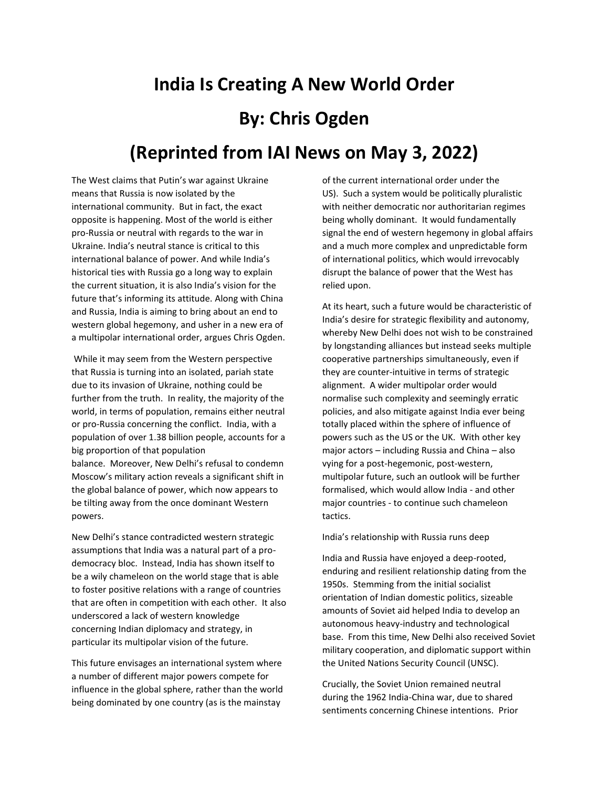## **India Is Creating A New World Order By: Chris Ogden (Reprinted from IAI News on May 3, 2022)**

The West claims that Putin's war against Ukraine means that Russia is now isolated by the international community. But in fact, the exact opposite is happening. Most of the world is either pro-Russia or neutral with regards to the war in Ukraine. India's neutral stance is critical to this international balance of power. And while India's historical ties with Russia go a long way to explain the current situation, it is also India's vision for the future that's informing its attitude. Along with China and Russia, India is aiming to bring about an end to western global hegemony, and usher in a new era of a multipolar international order, argues Chris Ogden.

While it may seem from the Western perspective that Russia is turning into an isolated, pariah state due to its invasion of Ukraine, nothing could be further from the truth. In reality, the majority of the world, in terms of population, remains either neutral or pro-Russia concerning the conflict. India, with a population of over 1.38 billion people, accounts for a big proportion of that population balance. Moreover, New Delhi's refusal to condemn Moscow's military action reveals a significant shift in the global balance of power, which now appears to be tilting away from the once dominant Western powers.

New Delhi's stance contradicted western strategic assumptions that India was a natural part of a prodemocracy bloc. Instead, India has shown itself to be a wily chameleon on the world stage that is able to foster positive relations with a range of countries that are often in competition with each other. It also underscored a lack of western knowledge concerning Indian diplomacy and strategy, in particular its multipolar vision of the future.

This future envisages an international system where a number of different major powers compete for influence in the global sphere, rather than the world being dominated by one country (as is the mainstay

of the current international order under the US). Such a system would be politically pluralistic with neither democratic nor authoritarian regimes being wholly dominant. It would fundamentally signal the end of western hegemony in global affairs and a much more complex and unpredictable form of international politics, which would irrevocably disrupt the balance of power that the West has relied upon.

At its heart, such a future would be characteristic of India's desire for strategic flexibility and autonomy, whereby New Delhi does not wish to be constrained by longstanding alliances but instead seeks multiple cooperative partnerships simultaneously, even if they are counter-intuitive in terms of strategic alignment. A wider multipolar order would normalise such complexity and seemingly erratic policies, and also mitigate against India ever being totally placed within the sphere of influence of powers such as the US or the UK. With other key major actors – including Russia and China – also vying for a post-hegemonic, post-western, multipolar future, such an outlook will be further formalised, which would allow India - and other major countries - to continue such chameleon tactics.

India's relationship with Russia runs deep

India and Russia have enjoyed a deep-rooted, enduring and resilient relationship dating from the 1950s. Stemming from the initial socialist orientation of Indian domestic politics, sizeable amounts of Soviet aid helped India to develop an autonomous heavy-industry and technological base. From this time, New Delhi also received Soviet military cooperation, and diplomatic support within the United Nations Security Council (UNSC).

Crucially, the Soviet Union remained neutral during [the 1962 India-China war,](https://en.wikipedia.org/wiki/Sino-Indian_War) due to shared sentiments concerning Chinese intentions. Prior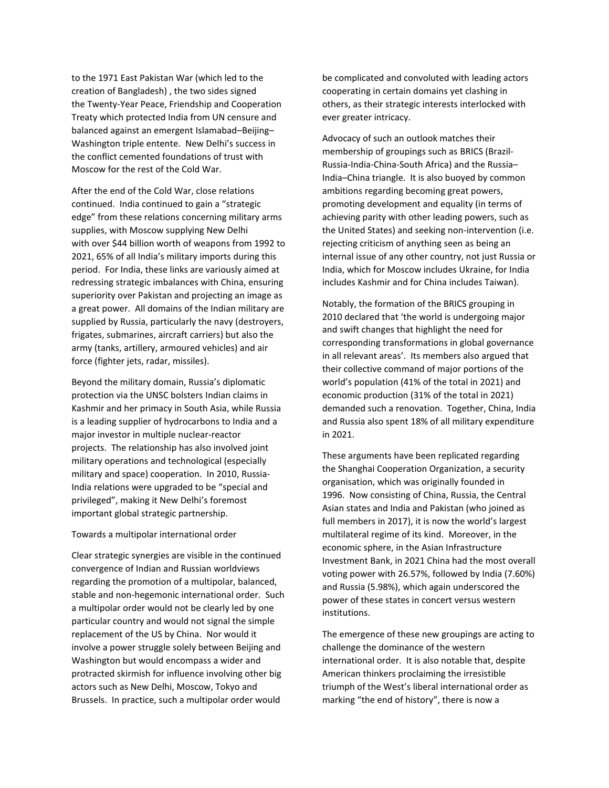to [the 1971 East Pakistan War](https://en.wikipedia.org/wiki/Indo-Pakistani_War_of_1971) (which led to the creation of Bangladesh) , the two sides signed the [Twenty-Year Peace, Friendship and Cooperation](https://mea.gov.in/bilateral-documents.htm?dtl/5139/Treaty+of)  [Treaty](https://mea.gov.in/bilateral-documents.htm?dtl/5139/Treaty+of) which protected India from UN censure and balanced against an emergent Islamabad–Beijing– Washington triple entente. New Delhi's success in the conflict cemented foundations of trust with Moscow for the rest of the Cold War.

After the end of the Cold War, close relations continued. India continued to gain a "strategic edge" from these relations concerning military arms supplies, with Moscow supplying New Delhi with [over \\$44 billion worth of weapons from 1992 to](https://armstrade.sipri.org/armstrade/page/values.php)  [2021](https://armstrade.sipri.org/armstrade/page/values.php), 65% of all India's military imports during this period. For India, these links are variously aimed at redressing strategic imbalances with China, ensuring superiority over Pakistan and projecting an image as a great power. [All domains of the Indian military are](https://www.defensenews.com/global/asia-pacific/2022/03/02/india-braces-for-sanctions-on-russia-to-delay-weapons-programs-deliveries/)  [supplied](https://www.defensenews.com/global/asia-pacific/2022/03/02/india-braces-for-sanctions-on-russia-to-delay-weapons-programs-deliveries/) by Russia, particularly the navy (destroyers, frigates, submarines, aircraft carriers) but also the army (tanks, artillery, armoured vehicles) and air force (fighter jets, radar, missiles).

Beyond the military domain, Russia's diplomatic protection via the UNSC bolsters [Indian claims in](https://www.bbc.com/news/10537286)  [Kashmir](https://www.bbc.com/news/10537286) and her primacy in South Asia, while Russia is a leading supplier of hydrocarbons to India and [a](https://www.cnbctv18.com/views/indias-russian-partnership-in-nuclear-energy-7086101.htm)  [major investor in multiple nuclear-reactor](https://www.cnbctv18.com/views/indias-russian-partnership-in-nuclear-energy-7086101.htm)  [projects.](https://www.cnbctv18.com/views/indias-russian-partnership-in-nuclear-energy-7086101.htm) The relationship has also involved [joint](https://www.ndtv.com/india-news/india-russia-begin-joint-military-training-exercise-indra-2021-2502864)  [military operations](https://www.ndtv.com/india-news/india-russia-begin-joint-military-training-exercise-indra-2021-2502864) and technological (especially military and space) cooperation. In 2010, Russia-India relations were upgraded to be ["special and](http://www.mea.gov.in/Portal/ForeignRelation/Russia_-DEC_2012.pdf)  [privileged",](http://www.mea.gov.in/Portal/ForeignRelation/Russia_-DEC_2012.pdf) making it New Delhi's foremost important global strategic partnership.

## Towards a multipolar international order

Clear strategic synergies are visible in the continued convergence of Indian and Russian worldviews regarding the promotion of a multipolar, balanced, stable and non-hegemonic international order. Such a multipolar order would not be clearly led by one particular country and would not signal the simple replacement of the US by China. Nor would it involve a power struggle solely between Beijing and Washington but would encompass a wider and protracted skirmish for influence involving other big actors such as New Delhi, Moscow, Tokyo and Brussels. In practice, such a multipolar order would

be complicated and convoluted with leading actors cooperating in certain domains yet clashing in others, as their strategic interests interlocked with ever greater intricacy.

Advocacy of such an outlook matches their membership of groupings such as [BRICS \(Brazil-](https://en.wikipedia.org/wiki/BRICS)[Russia-India-China-South Africa\)](https://en.wikipedia.org/wiki/BRICS) and the [Russia](https://thediplomat.com/2020/09/what-good-is-the-russia-india-china-triangle-for-moscow/)– India–[China triangle.](https://thediplomat.com/2020/09/what-good-is-the-russia-india-china-triangle-for-moscow/) It is also buoyed by common ambitions regarding becoming great powers, promoting development and equality (in terms of achieving parity with other leading powers, such as the United States) and seeking non-intervention (i.e. rejecting criticism of anything seen as being an internal issue of any other country, not just Russia or India, which for Moscow includes Ukraine, for India includes Kashmir and for China includes Taiwan).

Notably, the formation of [the BRICS grouping in](https://www.pria.org/download.php?filename=knowledge_resource/1558870139_Second%20BRICS%20Summit%20declaration.pdf&artid=3515)  [2010 declared](https://www.pria.org/download.php?filename=knowledge_resource/1558870139_Second%20BRICS%20Summit%20declaration.pdf&artid=3515) that 'the world is undergoing major and swift changes that highlight the need for corresponding transformations in global governance in all relevant areas'. Its members also argued that their collective command of major portions of the world's population [\(41% of the total in 2021\)](https://www.cia.gov/the-world-factbook/field/population/country-comparison) and economic production [\(31% of the total in 2021\)](https://data.worldbank.org/) demanded such a renovation. Together, China, India and Russia also spent [18% of all military expenditure](https://www.sipri.org/databases/milex)  [in 2021.](https://www.sipri.org/databases/milex)

These arguments have been replicated regarding the [Shanghai Cooperation Organization,](http://eng.sectsco.org/about_sco/) a security organisation, which was originally founded in 1996. Now consisting of China, Russia, the Central Asian states and India and Pakistan (who joined as full members in 2017), it is now the world's largest multilateral regime of its kind. Moreover, in the economic sphere, in the [Asian Infrastructure](https://www.aiib.org/en/index.html)  [Investment Bank,](https://www.aiib.org/en/index.html) in 2021 China had the [most overall](https://en.wikipedia.org/wiki/Asian_Infrastructure_Investment_Bank)  [voting power](https://en.wikipedia.org/wiki/Asian_Infrastructure_Investment_Bank) with 26.57%, followed by India (7.60%) and Russia (5.98%), which again underscored the power of these states in concert versus western institutions.

The emergence of these new groupings are acting to challenge the dominance of the western international order. It is also notable that, despite American thinkers proclaiming the irresistible triumph of the West's liberal international order as marking "[the end of history](https://tr.uow.edu.au/uow/file/c1e8a018-b551-452a-94c1-f681ed92a4c5/1/fukuyama-1989-1-18.pdf)", there is now a